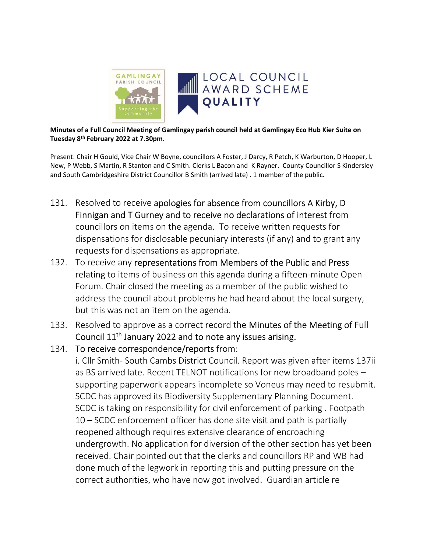

Minutes of a Full Council Meeting of Gamlingay parish council held at Gamlingay Eco Hub Kier Suite on Tuesday 8th February 2022 at 7.30pm.

Present: Chair H Gould, Vice Chair W Boyne, councillors A Foster, J Darcy, R Petch, K Warburton, D Hooper, L New, P Webb, S Martin, R Stanton and C Smith. Clerks L Bacon and K Rayner. County Councillor S Kindersley and South Cambridgeshire District Councillor B Smith (arrived late) . 1 member of the public.

- 131. Resolved to receive apologies for absence from councillors A Kirby, D Finnigan and T Gurney and to receive no declarations of interest from councillors on items on the agenda. To receive written requests for dispensations for disclosable pecuniary interests (if any) and to grant any requests for dispensations as appropriate.
- 132. To receive any representations from Members of the Public and Press relating to items of business on this agenda during a fifteen-minute Open Forum. Chair closed the meeting as a member of the public wished to address the council about problems he had heard about the local surgery, but this was not an item on the agenda.
- 133. Resolved to approve as a correct record the Minutes of the Meeting of Full Council 11th January 2022 and to note any issues arising.
- 134. To receive correspondence/reports from:

i. Cllr Smith- South Cambs District Council. Report was given after items 137ii as BS arrived late. Recent TELNOT notifications for new broadband poles – supporting paperwork appears incomplete so Voneus may need to resubmit. SCDC has approved its Biodiversity Supplementary Planning Document. SCDC is taking on responsibility for civil enforcement of parking . Footpath 10 – SCDC enforcement officer has done site visit and path is partially reopened although requires extensive clearance of encroaching undergrowth. No application for diversion of the other section has yet been received. Chair pointed out that the clerks and councillors RP and WB had done much of the legwork in reporting this and putting pressure on the correct authorities, who have now got involved. Guardian article re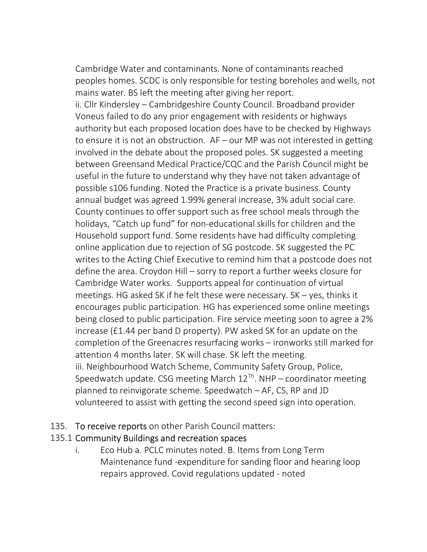Cambridge Water and contaminants. None of contaminants reached peoples homes. SCDC is only responsible for testing boreholes and wells, not mains water. BS left the meeting after giving her report. ii. Cllr Kindersley – Cambridgeshire County Council. Broadband provider Voneus failed to do any prior engagement with residents or highways authority but each proposed location does have to be checked by Highways to ensure it is not an obstruction. AF – our MP was not interested in getting involved in the debate about the proposed poles. SK suggested a meeting between Greensand Medical Practice/CQC and the Parish Council might be useful in the future to understand why they have not taken advantage of possible s106 funding. Noted the Practice is a private business. County annual budget was agreed 1.99% general increase, 3% adult social care. County continues to offer support such as free school meals through the holidays, "Catch up fund" for non-educational skills for children and the Household support fund. Some residents have had difficulty completing online application due to rejection of SG postcode. SK suggested the PC writes to the Acting Chief Executive to remind him that a postcode does not define the area. Croydon Hill – sorry to report a further weeks closure for Cambridge Water works. Supports appeal for continuation of virtual meetings. HG asked SK if he felt these were necessary. SK – yes, thinks it encourages public participation. HG has experienced some online meetings being closed to public participation. Fire service meeting soon to agree a 2% increase (£1.44 per band D property). PW asked SK for an update on the completion of the Greenacres resurfacing works – ironworks still marked for attention 4 months later. SK will chase. SK left the meeting. iii. Neighbourhood Watch Scheme, Community Safety Group, Police, Speedwatch update. CSG meeting March  $12^{Th}$ . NHP – coordinator meeting planned to reinvigorate scheme. Speedwatch – AF, CS, RP and JD volunteered to assist with getting the second speed sign into operation.

135. To receive reports on other Parish Council matters:

#### 135.1 Community Buildings and recreation spaces

i. Eco Hub a. PCLC minutes noted. B. Items from Long Term Maintenance fund -expenditure for sanding floor and hearing loop repairs approved. Covid regulations updated - noted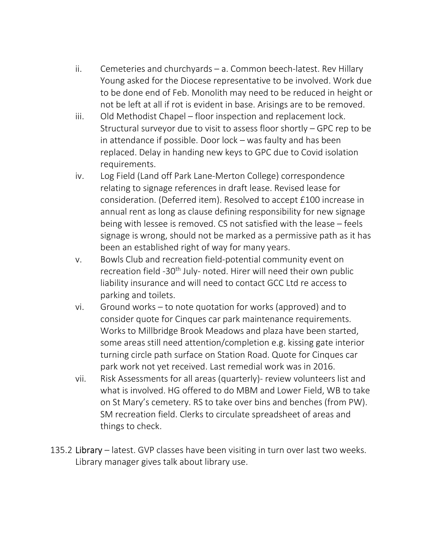- ii. Cemeteries and churchyards a. Common beech-latest. Rev Hillary Young asked for the Diocese representative to be involved. Work due to be done end of Feb. Monolith may need to be reduced in height or not be left at all if rot is evident in base. Arisings are to be removed.
- iii. Old Methodist Chapel floor inspection and replacement lock. Structural surveyor due to visit to assess floor shortly – GPC rep to be in attendance if possible. Door lock – was faulty and has been replaced. Delay in handing new keys to GPC due to Covid isolation requirements.
- iv. Log Field (Land off Park Lane-Merton College) correspondence relating to signage references in draft lease. Revised lease for consideration. (Deferred item). Resolved to accept £100 increase in annual rent as long as clause defining responsibility for new signage being with lessee is removed. CS not satisfied with the lease – feels signage is wrong, should not be marked as a permissive path as it has been an established right of way for many years.
- v. Bowls Club and recreation field-potential community event on recreation field -30<sup>th</sup> July- noted. Hirer will need their own public liability insurance and will need to contact GCC Ltd re access to parking and toilets.
- vi. Ground works to note quotation for works (approved) and to consider quote for Cinques car park maintenance requirements. Works to Millbridge Brook Meadows and plaza have been started, some areas still need attention/completion e.g. kissing gate interior turning circle path surface on Station Road. Quote for Cinques car park work not yet received. Last remedial work was in 2016.
- vii. Risk Assessments for all areas (quarterly)- review volunteers list and what is involved. HG offered to do MBM and Lower Field, WB to take on St Mary's cemetery. RS to take over bins and benches (from PW). SM recreation field. Clerks to circulate spreadsheet of areas and things to check.
- 135.2 Library latest. GVP classes have been visiting in turn over last two weeks. Library manager gives talk about library use.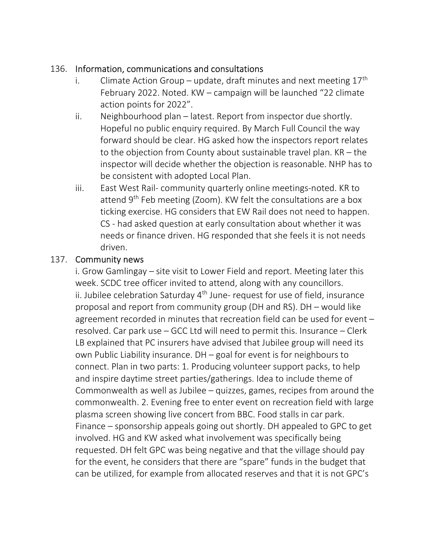## 136. Information, communications and consultations

- i. Climate Action Group update, draft minutes and next meeting  $17<sup>th</sup>$ February 2022. Noted. KW – campaign will be launched "22 climate action points for 2022".
- ii. Neighbourhood plan latest. Report from inspector due shortly. Hopeful no public enquiry required. By March Full Council the way forward should be clear. HG asked how the inspectors report relates to the objection from County about sustainable travel plan. KR – the inspector will decide whether the objection is reasonable. NHP has to be consistent with adopted Local Plan.
- iii. East West Rail- community quarterly online meetings-noted. KR to attend  $9<sup>th</sup>$  Feb meeting (Zoom). KW felt the consultations are a box ticking exercise. HG considers that EW Rail does not need to happen. CS - had asked question at early consultation about whether it was needs or finance driven. HG responded that she feels it is not needs driven.

## 137. Community news

 i. Grow Gamlingay – site visit to Lower Field and report. Meeting later this week. SCDC tree officer invited to attend, along with any councillors. ii. Jubilee celebration Saturday  $4<sup>th</sup>$  June- request for use of field, insurance proposal and report from community group (DH and RS). DH – would like agreement recorded in minutes that recreation field can be used for event – resolved. Car park use – GCC Ltd will need to permit this. Insurance – Clerk LB explained that PC insurers have advised that Jubilee group will need its own Public Liability insurance. DH – goal for event is for neighbours to connect. Plan in two parts: 1. Producing volunteer support packs, to help and inspire daytime street parties/gatherings. Idea to include theme of Commonwealth as well as Jubilee – quizzes, games, recipes from around the commonwealth. 2. Evening free to enter event on recreation field with large plasma screen showing live concert from BBC. Food stalls in car park. Finance – sponsorship appeals going out shortly. DH appealed to GPC to get involved. HG and KW asked what involvement was specifically being requested. DH felt GPC was being negative and that the village should pay for the event, he considers that there are "spare" funds in the budget that can be utilized, for example from allocated reserves and that it is not GPC's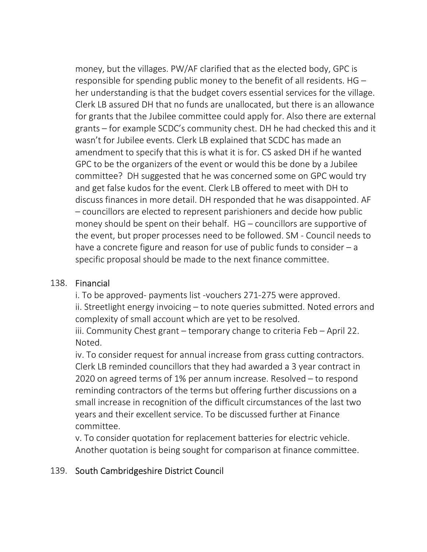money, but the villages. PW/AF clarified that as the elected body, GPC is responsible for spending public money to the benefit of all residents. HG – her understanding is that the budget covers essential services for the village. Clerk LB assured DH that no funds are unallocated, but there is an allowance for grants that the Jubilee committee could apply for. Also there are external grants – for example SCDC's community chest. DH he had checked this and it wasn't for Jubilee events. Clerk LB explained that SCDC has made an amendment to specify that this is what it is for. CS asked DH if he wanted GPC to be the organizers of the event or would this be done by a Jubilee committee? DH suggested that he was concerned some on GPC would try and get false kudos for the event. Clerk LB offered to meet with DH to discuss finances in more detail. DH responded that he was disappointed. AF – councillors are elected to represent parishioners and decide how public money should be spent on their behalf. HG – councillors are supportive of the event, but proper processes need to be followed. SM - Council needs to have a concrete figure and reason for use of public funds to consider – a specific proposal should be made to the next finance committee.

## 138. Financial

 i. To be approved- payments list -vouchers 271-275 were approved. ii. Streetlight energy invoicing – to note queries submitted. Noted errors and complexity of small account which are yet to be resolved.

 iii. Community Chest grant – temporary change to criteria Feb – April 22. Noted.

 iv. To consider request for annual increase from grass cutting contractors. Clerk LB reminded councillors that they had awarded a 3 year contract in 2020 on agreed terms of 1% per annum increase. Resolved – to respond reminding contractors of the terms but offering further discussions on a small increase in recognition of the difficult circumstances of the last two years and their excellent service. To be discussed further at Finance committee.

 v. To consider quotation for replacement batteries for electric vehicle. Another quotation is being sought for comparison at finance committee.

## 139. South Cambridgeshire District Council